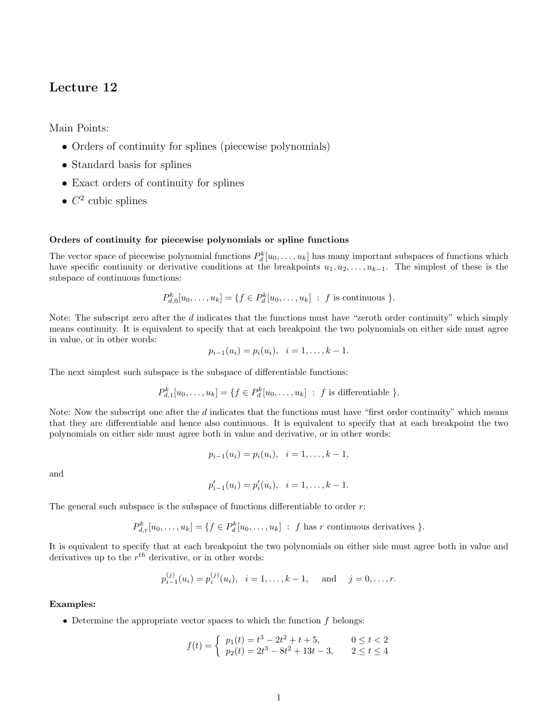# Lecture 12

Main Points:

- Orders of continuity for splines (piecewise polynomials)
- Standard basis for splines
- Exact orders of continuity for splines
- $C^2$  cubic splines

### Orders of continuity for piecewise polynomials or spline functions

The vector space of piecewise polynomial functions  $P_d^k[u_0,\ldots,u_k]$  has many important subspaces of functions which have specific continuity or derivative conditions at the breakpoints  $u_1, u_2, \ldots, u_{k-1}$ . The simplest of these is the subspace of continuous functions:

$$
P_{d,0}^k[u_0,\ldots,u_k] = \{f \in P_d^k[u_0,\ldots,u_k] : f \text{ is continuous }\}.
$$

Note: The subscript zero after the d indicates that the functions must have "zeroth order continuity" which simply means continuity. It is equivalent to specify that at each breakpoint the two polynomials on either side must agree in value, or in other words:

$$
p_{i-1}(u_i) = p_i(u_i), \quad i = 1, \ldots, k-1.
$$

The next simplest such subspace is the subspace of differentiable functions:

$$
P_{d,1}^k[u_0,\ldots,u_k] = \{f \in P_d^k[u_0,\ldots,u_k] : f \text{ is differentiable }\}.
$$

Note: Now the subscript one after the  $d$  indicates that the functions must have "first order continuity" which means that they are differentiable and hence also continuous. It is equivalent to specify that at each breakpoint the two polynomials on either side must agree both in value and derivative, or in other words:

$$
p_{i-1}(u_i) = p_i(u_i), \quad i = 1, \ldots, k-1,
$$

and

$$
p'_{i-1}(u_i) = p'_{i}(u_i), \quad i = 1, \ldots, k-1.
$$

The general such subspace is the subspace of functions differentiable to order  $r$ :

$$
P_{d,r}^k[u_0,\ldots,u_k] = \{f \in P_d^k[u_0,\ldots,u_k] : f \text{ has } r \text{ continuous derivatives }\}.
$$

It is equivalent to specify that at each breakpoint the two polynomials on either side must agree both in value and derivatives up to the  $r^{th}$  derivative, or in other words:

$$
p_{i-1}^{(j)}(u_i) = p_i^{(j)}(u_i), \quad i = 1, \ldots, k-1, \quad \text{and} \quad j = 0, \ldots, r.
$$

### Examples:

• Determine the appropriate vector spaces to which the function  $f$  belongs:

$$
f(t) = \begin{cases} p_1(t) = t^3 - 2t^2 + t + 5, & 0 \le t < 2\\ p_2(t) = 2t^3 - 8t^2 + 13t - 3, & 2 \le t \le 4 \end{cases}
$$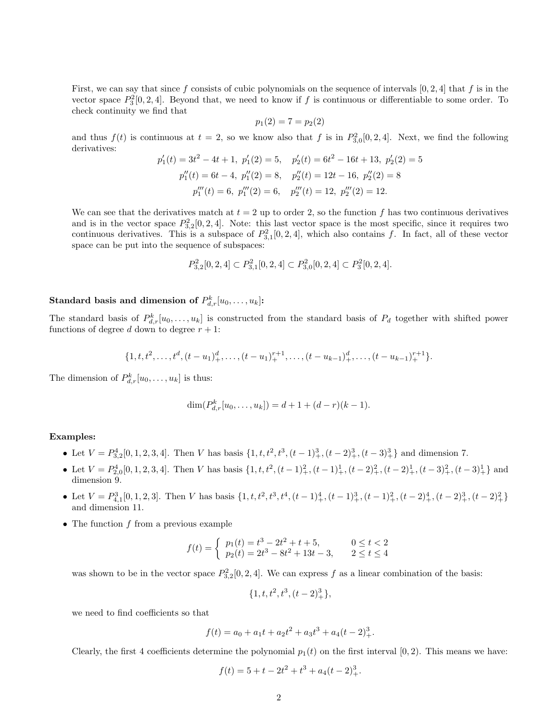First, we can say that since f consists of cubic polynomials on the sequence of intervals  $[0, 2, 4]$  that f is in the vector space  $P_3^2[0, 2, 4]$ . Beyond that, we need to know if f is continuous or differentiable to some order. To check continuity we find that

$$
p_1(2) = 7 = p_2(2)
$$

and thus  $f(t)$  is continuous at  $t = 2$ , so we know also that f is in  $P_{3,0}^2[0, 2, 4]$ . Next, we find the following derivatives:

$$
p'_1(t) = 3t^2 - 4t + 1, \ p'_1(2) = 5, \quad p'_2(t) = 6t^2 - 16t + 13, \ p'_2(2) = 5
$$

$$
p''_1(t) = 6t - 4, \ p''_1(2) = 8, \quad p''_2(t) = 12t - 16, \ p''_2(2) = 8
$$

$$
p'''_1(t) = 6, \ p'''_1(2) = 6, \quad p'''_2(t) = 12, \ p'''_2(2) = 12.
$$

We can see that the derivatives match at  $t = 2$  up to order 2, so the function f has two continuous derivatives and is in the vector space  $P_{3,2}^2[0,2,4]$ . Note: this last vector space is the most specific, since it requires two continuous derivatives. This is a subspace of  $P_{3,1}^2[0, 2, 4]$ , which also contains f. In fact, all of these vector space can be put into the sequence of subspaces:

$$
P_{3,2}^2[0,2,4] \subset P_{3,1}^2[0,2,4] \subset P_{3,0}^2[0,2,4] \subset P_3^2[0,2,4].
$$

# Standard basis and dimension of  $P^k_{d,r}[u_0,\ldots,u_k]$ :

The standard basis of  $P_{d,r}^k[u_0,\ldots,u_k]$  is constructed from the standard basis of  $P_d$  together with shifted power functions of degree d down to degree  $r + 1$ :

$$
\{1, t, t^2, \ldots, t^d, (t-u_1)_+^d, \ldots, (t-u_1)_+^{r+1}, \ldots, (t-u_{k-1})_+^d, \ldots, (t-u_{k-1})_+^{r+1}\}.
$$

The dimension of  $P_{d,r}^k[u_0,\ldots,u_k]$  is thus:

$$
\dim(P_{d,r}^k[u_0,\ldots,u_k]) = d+1+(d-r)(k-1).
$$

### Examples:

- Let  $V = P_{3,2}^4[0,1,2,3,4]$ . Then V has basis  $\{1, t, t^2, t^3, (t-1)_+^3, (t-2)_+^3, (t-3)_+^3\}$  and dimension 7. 3,2
- Let  $V = P_{2,0}^4[0,1,2,3,4]$ . Then V has basis  $\{1, t, t^2, (t-1)_+^2, (t-1)_+^1, (t-2)_+^2, (t-2)_+^1, (t-3)_+^2, (t-3)_+^1\}$  and dimension 9.
- Let  $V = P_{4,1}^3[0,1,2,3]$ . Then V has basis  $\{1, t, t^2, t^3, t^4, (t-1)_+^4, (t-1)_+^3, (t-1)_+^2, (t-2)_+^4, (t-2)_+^3, (t-2)_+^2\}$ and dimension 11.
- The function  $f$  from a previous example

$$
f(t) = \begin{cases} p_1(t) = t^3 - 2t^2 + t + 5, & 0 \le t < 2\\ p_2(t) = 2t^3 - 8t^2 + 13t - 3, & 2 \le t \le 4 \end{cases}
$$

was shown to be in the vector space  $P_{3,2}^2[0, 2, 4]$ . We can express f as a linear combination of the basis:

$$
\{1, t, t^2, t^3, (t-2)_+^3\},\
$$

we need to find coefficients so that

$$
f(t) = a_0 + a_1t + a_2t^2 + a_3t^3 + a_4(t - 2)^3_+.
$$

Clearly, the first 4 coefficients determine the polynomial  $p_1(t)$  on the first interval  $[0, 2)$ . This means we have:

$$
f(t) = 5 + t - 2t^2 + t^3 + a_4(t - 2)^3_+.
$$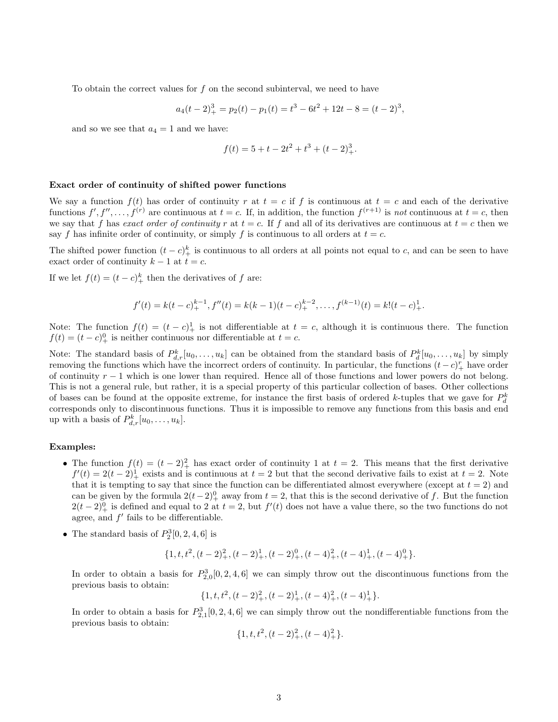To obtain the correct values for f on the second subinterval, we need to have

$$
a_4(t-2)^3_+ = p_2(t) - p_1(t) = t^3 - 6t^2 + 12t - 8 = (t-2)^3,
$$

and so we see that  $a_4 = 1$  and we have:

$$
f(t) = 5 + t - 2t^2 + t^3 + (t - 2)^3_+.
$$

#### Exact order of continuity of shifted power functions

We say a function  $f(t)$  has order of continuity r at  $t = c$  if f is continuous at  $t = c$  and each of the derivative functions  $f', f'', \ldots, f^{(r)}$  are continuous at  $t = c$ . If, in addition, the function  $f^{(r+1)}$  is not continuous at  $t = c$ , then we say that f has exact order of continuity r at  $t = c$ . If f and all of its derivatives are continuous at  $t = c$  then we say f has infinite order of continuity, or simply f is continuous to all orders at  $t = c$ .

The shifted power function  $(t - c)_+^k$  is continuous to all orders at all points not equal to c, and can be seen to have exact order of continuity  $k - 1$  at  $t = c$ .

If we let  $f(t) = (t - c)_+^k$  then the derivatives of f are:

$$
f'(t) = k(t - c)_{+}^{k-1}, f''(t) = k(k - 1)(t - c)_{+}^{k-2}, \dots, f^{(k-1)}(t) = k!(t - c)_{+}^{1}.
$$

Note: The function  $f(t) = (t - c)^{1}$  is not differentiable at  $t = c$ , although it is continuous there. The function  $f(t) = (t - c)^0_+$  is neither continuous nor differentiable at  $t = c$ .

Note: The standard basis of  $P_{d,r}^k[u_0,\ldots,u_k]$  can be obtained from the standard basis of  $P_d^k[u_0,\ldots,u_k]$  by simply removing the functions which have the incorrect orders of continuity. In particular, the functions  $(t-c)^{r}_{+}$  have order of continuity  $r - 1$  which is one lower than required. Hence all of those functions and lower powers do not belong. This is not a general rule, but rather, it is a special property of this particular collection of bases. Other collections of bases can be found at the opposite extreme, for instance the first basis of ordered k-tuples that we gave for  $P_d^k$ corresponds only to discontinuous functions. Thus it is impossible to remove any functions from this basis and end up with a basis of  $P_{d,r}^k[u_0,\ldots,u_k]$ .

#### Examples:

- The function  $f(t) = (t-2)^2$  has exact order of continuity 1 at  $t = 2$ . This means that the first derivative  $f'(t) = 2(t-2)^{1}_{+}$  exists and is continuous at  $t = 2$  but that the second derivative fails to exist at  $t = 2$ . Note that it is tempting to say that since the function can be differentiated almost everywhere (except at  $t = 2$ ) and can be given by the formula  $2(t-2)^0_+$  away from  $t = 2$ , that this is the second derivative of f. But the function  $2(t-2)^0_+$  is defined and equal to 2 at  $t=2$ , but  $f'(t)$  does not have a value there, so the two functions do not agree, and  $f'$  fails to be differentiable.
- The standard basis of  $P_2^3[0, 2, 4, 6]$  is

$$
\{1, t, t^{2}, (t-2)_{+}^{2}, (t-2)_{+}^{1}, (t-2)_{+}^{0}, (t-4)_{+}^{2}, (t-4)_{+}^{1}, (t-4)_{+}^{0}\}.
$$

In order to obtain a basis for  $P_{2,0}^3[0, 2, 4, 6]$  we can simply throw out the discontinuous functions from the previous basis to obtain:

$$
\{1, t, t^{2}, (t-2)_{+}^{2}, (t-2)_{+}^{1}, (t-4)_{+}^{2}, (t-4)_{+}^{1}\}.
$$

In order to obtain a basis for  $P_{2,1}^3[0, 2, 4, 6]$  we can simply throw out the nondifferentiable functions from the previous basis to obtain:

$$
\{1, t, t^2, (t-2)_+^2, (t-4)_+^2\}.
$$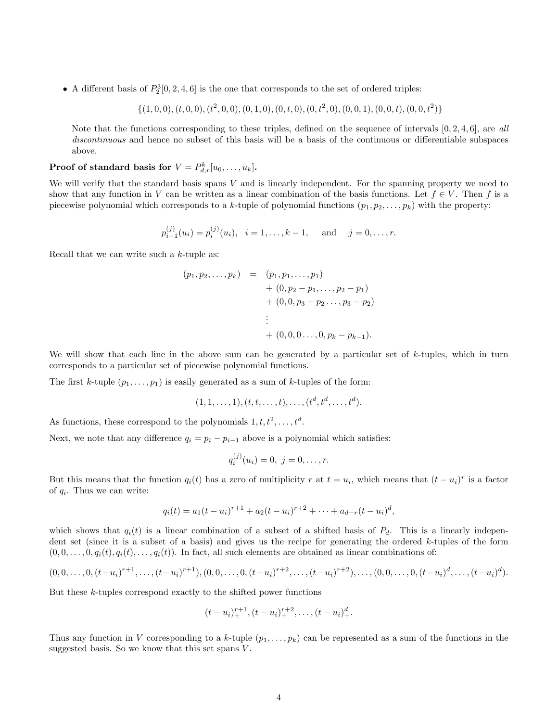• A different basis of  $P_2^3[0, 2, 4, 6]$  is the one that corresponds to the set of ordered triples:

 $\{(1,0,0), (t, 0, 0), (t^2, 0, 0), (0, 1, 0), (0, t, 0), (0, t^2, 0), (0, 0, 1), (0, 0, t), (0, 0, t^2)\}\$ 

Note that the functions corresponding to these triples, defined on the sequence of intervals  $[0, 2, 4, 6]$ , are all discontinuous and hence no subset of this basis will be a basis of the continuous or differentiable subspaces above.

# **Proof of standard basis for**  $V = P_{d,r}^k[u_0, \ldots, u_k]$ .

We will verify that the standard basis spans V and is linearly independent. For the spanning property we need to show that any function in V can be written as a linear combination of the basis functions. Let  $f \in V$ . Then f is a piecewise polynomial which corresponds to a k-tuple of polynomial functions  $(p_1, p_2, \ldots, p_k)$  with the property:

$$
p_{i-1}^{(j)}(u_i) = p_i^{(j)}(u_i), \quad i = 1, \ldots, k-1, \quad \text{and} \quad j = 0, \ldots, r.
$$

Recall that we can write such a  $k$ -tuple as:

$$
(p_1, p_2,..., p_k) = (p_1, p_1,..., p_1) + (0, p_2 - p_1,..., p_2 - p_1) + (0, 0, p_3 - p_2..., p_3 - p_2) \vdots + (0, 0, 0..., 0, p_k - p_{k-1}).
$$

We will show that each line in the above sum can be generated by a particular set of k-tuples, which in turn corresponds to a particular set of piecewise polynomial functions.

The first k-tuple  $(p_1, \ldots, p_1)$  is easily generated as a sum of k-tuples of the form:

$$
(1, 1, \ldots, 1), (t, t, \ldots, t), \ldots, (t^d, t^d, \ldots, t^d).
$$

As functions, these correspond to the polynomials  $1, t, t^2, \ldots, t^d$ .

Next, we note that any difference  $q_i = p_i - p_{i-1}$  above is a polynomial which satisfies:

$$
q_i^{(j)}(u_i) = 0, \ j = 0, \dots, r.
$$

But this means that the function  $q_i(t)$  has a zero of multiplicity r at  $t = u_i$ , which means that  $(t - u_i)^r$  is a factor of  $q_i$ . Thus we can write:

$$
q_i(t) = a_1(t - u_i)^{r+1} + a_2(t - u_i)^{r+2} + \cdots + a_{d-r}(t - u_i)^d,
$$

which shows that  $q_i(t)$  is a linear combination of a subset of a shifted basis of  $P_d$ . This is a linearly independent set (since it is a subset of a basis) and gives us the recipe for generating the ordered  $k$ -tuples of the form  $(0, 0, \ldots, 0, q_i(t), q_i(t), \ldots, q_i(t))$ . In fact, all such elements are obtained as linear combinations of:

$$
(0,0,\ldots,0,(t-u_i)^{r+1},\ldots,(t-u_i)^{r+1}), (0,0,\ldots,0,(t-u_i)^{r+2},\ldots,(t-u_i)^{r+2}),\ldots,(0,0,\ldots,0,(t-u_i)^d,\ldots,(t-u_i)^d).
$$

But these  $k$ -tuples correspond exactly to the shifted power functions

$$
(t-u_i)_+^{r+1}, (t-u_i)_+^{r+2}, \ldots, (t-u_i)_+^d.
$$

Thus any function in V corresponding to a k-tuple  $(p_1, \ldots, p_k)$  can be represented as a sum of the functions in the suggested basis. So we know that this set spans  $V$ .